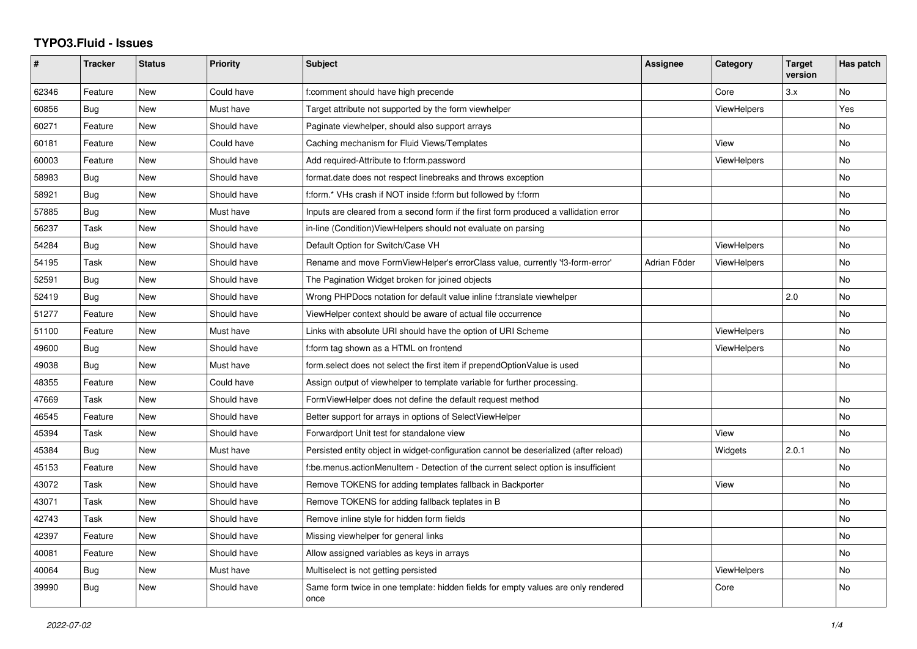## **TYPO3.Fluid - Issues**

| #     | <b>Tracker</b> | <b>Status</b> | <b>Priority</b> | <b>Subject</b>                                                                            | <b>Assignee</b> | Category           | <b>Target</b><br>version | Has patch |
|-------|----------------|---------------|-----------------|-------------------------------------------------------------------------------------------|-----------------|--------------------|--------------------------|-----------|
| 62346 | Feature        | <b>New</b>    | Could have      | f:comment should have high precende                                                       |                 | Core               | 3.x                      | No        |
| 60856 | Bug            | <b>New</b>    | Must have       | Target attribute not supported by the form viewhelper                                     |                 | ViewHelpers        |                          | Yes       |
| 60271 | Feature        | New           | Should have     | Paginate viewhelper, should also support arrays                                           |                 |                    |                          | No        |
| 60181 | Feature        | <b>New</b>    | Could have      | Caching mechanism for Fluid Views/Templates                                               |                 | View               |                          | No        |
| 60003 | Feature        | New           | Should have     | Add required-Attribute to f:form.password                                                 |                 | <b>ViewHelpers</b> |                          | No        |
| 58983 | Bug            | New           | Should have     | format.date does not respect linebreaks and throws exception                              |                 |                    |                          | <b>No</b> |
| 58921 | Bug            | New           | Should have     | f:form.* VHs crash if NOT inside f:form but followed by f:form                            |                 |                    |                          | No        |
| 57885 | Bug            | <b>New</b>    | Must have       | Inputs are cleared from a second form if the first form produced a vallidation error      |                 |                    |                          | <b>No</b> |
| 56237 | Task           | New           | Should have     | in-line (Condition) View Helpers should not evaluate on parsing                           |                 |                    |                          | No        |
| 54284 | Bug            | <b>New</b>    | Should have     | Default Option for Switch/Case VH                                                         |                 | <b>ViewHelpers</b> |                          | <b>No</b> |
| 54195 | Task           | <b>New</b>    | Should have     | Rename and move FormViewHelper's errorClass value, currently 'f3-form-error'              | Adrian Föder    | ViewHelpers        |                          | No        |
| 52591 | Bug            | New           | Should have     | The Pagination Widget broken for joined objects                                           |                 |                    |                          | No        |
| 52419 | Bug            | New           | Should have     | Wrong PHPDocs notation for default value inline f:translate viewhelper                    |                 |                    | 2.0                      | <b>No</b> |
| 51277 | Feature        | <b>New</b>    | Should have     | ViewHelper context should be aware of actual file occurrence                              |                 |                    |                          | <b>No</b> |
| 51100 | Feature        | New           | Must have       | Links with absolute URI should have the option of URI Scheme                              |                 | <b>ViewHelpers</b> |                          | No        |
| 49600 | Bug            | <b>New</b>    | Should have     | f:form tag shown as a HTML on frontend                                                    |                 | <b>ViewHelpers</b> |                          | No        |
| 49038 | Bug            | <b>New</b>    | Must have       | form.select does not select the first item if prependOptionValue is used                  |                 |                    |                          | No        |
| 48355 | Feature        | New           | Could have      | Assign output of viewhelper to template variable for further processing.                  |                 |                    |                          |           |
| 47669 | Task           | New           | Should have     | FormViewHelper does not define the default request method                                 |                 |                    |                          | No        |
| 46545 | Feature        | <b>New</b>    | Should have     | Better support for arrays in options of SelectViewHelper                                  |                 |                    |                          | <b>No</b> |
| 45394 | Task           | New           | Should have     | Forwardport Unit test for standalone view                                                 |                 | View               |                          | No        |
| 45384 | Bug            | <b>New</b>    | Must have       | Persisted entity object in widget-configuration cannot be deserialized (after reload)     |                 | Widgets            | 2.0.1                    | No        |
| 45153 | Feature        | <b>New</b>    | Should have     | f:be.menus.actionMenuItem - Detection of the current select option is insufficient        |                 |                    |                          | No        |
| 43072 | Task           | New           | Should have     | Remove TOKENS for adding templates fallback in Backporter                                 |                 | View               |                          | No        |
| 43071 | Task           | New           | Should have     | Remove TOKENS for adding fallback teplates in B                                           |                 |                    |                          | No        |
| 42743 | Task           | <b>New</b>    | Should have     | Remove inline style for hidden form fields                                                |                 |                    |                          | No        |
| 42397 | Feature        | New           | Should have     | Missing viewhelper for general links                                                      |                 |                    |                          | <b>No</b> |
| 40081 | Feature        | New           | Should have     | Allow assigned variables as keys in arrays                                                |                 |                    |                          | <b>No</b> |
| 40064 | Bug            | <b>New</b>    | Must have       | Multiselect is not getting persisted                                                      |                 | <b>ViewHelpers</b> |                          | <b>No</b> |
| 39990 | Bug            | <b>New</b>    | Should have     | Same form twice in one template: hidden fields for empty values are only rendered<br>once |                 | Core               |                          | No        |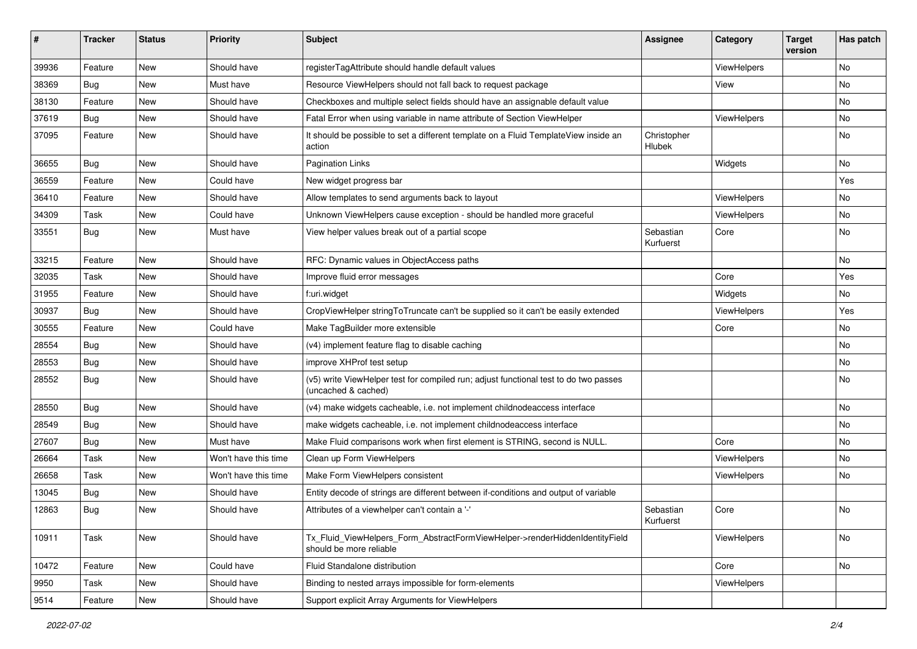| ∦     | <b>Tracker</b> | <b>Status</b> | Priority             | Subject                                                                                                     | <b>Assignee</b>        | Category           | <b>Target</b><br>version | Has patch |
|-------|----------------|---------------|----------------------|-------------------------------------------------------------------------------------------------------------|------------------------|--------------------|--------------------------|-----------|
| 39936 | Feature        | New           | Should have          | registerTagAttribute should handle default values                                                           |                        | ViewHelpers        |                          | <b>No</b> |
| 38369 | Bug            | New           | Must have            | Resource ViewHelpers should not fall back to request package                                                |                        | View               |                          | No        |
| 38130 | Feature        | New           | Should have          | Checkboxes and multiple select fields should have an assignable default value                               |                        |                    |                          | No        |
| 37619 | Bug            | New           | Should have          | Fatal Error when using variable in name attribute of Section ViewHelper                                     |                        | ViewHelpers        |                          | No        |
| 37095 | Feature        | New           | Should have          | It should be possible to set a different template on a Fluid TemplateView inside an<br>action               | Christopher<br>Hlubek  |                    |                          | No        |
| 36655 | Bug            | New           | Should have          | <b>Pagination Links</b>                                                                                     |                        | Widgets            |                          | No        |
| 36559 | Feature        | New           | Could have           | New widget progress bar                                                                                     |                        |                    |                          | Yes       |
| 36410 | Feature        | New           | Should have          | Allow templates to send arguments back to layout                                                            |                        | ViewHelpers        |                          | No        |
| 34309 | Task           | New           | Could have           | Unknown ViewHelpers cause exception - should be handled more graceful                                       |                        | <b>ViewHelpers</b> |                          | No        |
| 33551 | <b>Bug</b>     | New           | Must have            | View helper values break out of a partial scope                                                             | Sebastian<br>Kurfuerst | Core               |                          | No        |
| 33215 | Feature        | New           | Should have          | RFC: Dynamic values in ObjectAccess paths                                                                   |                        |                    |                          | No        |
| 32035 | Task           | <b>New</b>    | Should have          | Improve fluid error messages                                                                                |                        | Core               |                          | Yes       |
| 31955 | Feature        | New           | Should have          | f:uri.widget                                                                                                |                        | Widgets            |                          | No        |
| 30937 | <b>Bug</b>     | New           | Should have          | CropViewHelper stringToTruncate can't be supplied so it can't be easily extended                            |                        | ViewHelpers        |                          | Yes       |
| 30555 | Feature        | New           | Could have           | Make TagBuilder more extensible                                                                             |                        | Core               |                          | No        |
| 28554 | Bug            | New           | Should have          | (v4) implement feature flag to disable caching                                                              |                        |                    |                          | No        |
| 28553 | Bug            | New           | Should have          | improve XHProf test setup                                                                                   |                        |                    |                          | <b>No</b> |
| 28552 | Bug            | New           | Should have          | (v5) write ViewHelper test for compiled run; adjust functional test to do two passes<br>(uncached & cached) |                        |                    |                          | No        |
| 28550 | Bug            | New           | Should have          | (v4) make widgets cacheable, i.e. not implement childnodeaccess interface                                   |                        |                    |                          | No        |
| 28549 | Bug            | New           | Should have          | make widgets cacheable, i.e. not implement childnodeaccess interface                                        |                        |                    |                          | No        |
| 27607 | Bug            | New           | Must have            | Make Fluid comparisons work when first element is STRING, second is NULL.                                   |                        | Core               |                          | No        |
| 26664 | Task           | New           | Won't have this time | Clean up Form ViewHelpers                                                                                   |                        | ViewHelpers        |                          | <b>No</b> |
| 26658 | Task           | New           | Won't have this time | Make Form ViewHelpers consistent                                                                            |                        | ViewHelpers        |                          | No        |
| 13045 | Bug            | New           | Should have          | Entity decode of strings are different between if-conditions and output of variable                         |                        |                    |                          |           |
| 12863 | Bug            | New           | Should have          | Attributes of a viewhelper can't contain a '-'                                                              | Sebastian<br>Kurfuerst | Core               |                          | No        |
| 10911 | Task           | New           | Should have          | Tx_Fluid_ViewHelpers_Form_AbstractFormViewHelper->renderHiddenIdentityField<br>should be more reliable      |                        | ViewHelpers        |                          | No        |
| 10472 | Feature        | New           | Could have           | Fluid Standalone distribution                                                                               |                        | Core               |                          | No        |
| 9950  | Task           | New           | Should have          | Binding to nested arrays impossible for form-elements                                                       |                        | ViewHelpers        |                          |           |
| 9514  | Feature        | New           | Should have          | Support explicit Array Arguments for ViewHelpers                                                            |                        |                    |                          |           |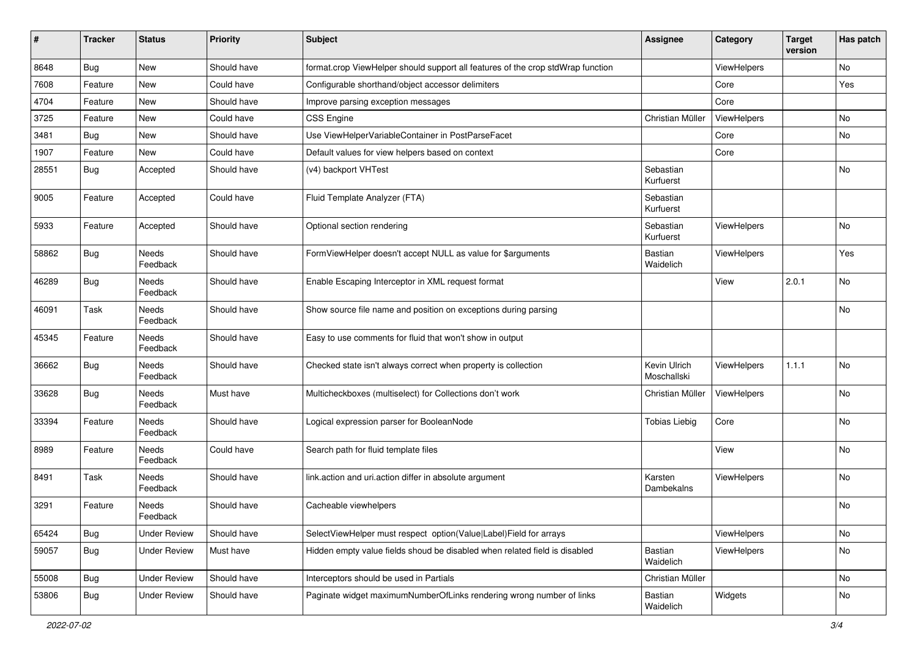| ∦     | <b>Tracker</b> | <b>Status</b>            | <b>Priority</b> | Subject                                                                         | Assignee                    | Category           | <b>Target</b><br>version | Has patch |
|-------|----------------|--------------------------|-----------------|---------------------------------------------------------------------------------|-----------------------------|--------------------|--------------------------|-----------|
| 8648  | Bug            | New                      | Should have     | format.crop ViewHelper should support all features of the crop stdWrap function |                             | <b>ViewHelpers</b> |                          | No        |
| 7608  | Feature        | New                      | Could have      | Configurable shorthand/object accessor delimiters                               |                             | Core               |                          | Yes       |
| 4704  | Feature        | New                      | Should have     | Improve parsing exception messages                                              |                             | Core               |                          |           |
| 3725  | Feature        | New                      | Could have      | CSS Engine                                                                      | Christian Müller            | ViewHelpers        |                          | No        |
| 3481  | <b>Bug</b>     | New                      | Should have     | Use ViewHelperVariableContainer in PostParseFacet                               |                             | Core               |                          | No        |
| 1907  | Feature        | New                      | Could have      | Default values for view helpers based on context                                |                             | Core               |                          |           |
| 28551 | Bug            | Accepted                 | Should have     | (v4) backport VHTest                                                            | Sebastian<br>Kurfuerst      |                    |                          | No        |
| 9005  | Feature        | Accepted                 | Could have      | Fluid Template Analyzer (FTA)                                                   | Sebastian<br>Kurfuerst      |                    |                          |           |
| 5933  | Feature        | Accepted                 | Should have     | Optional section rendering                                                      | Sebastian<br>Kurfuerst      | ViewHelpers        |                          | No        |
| 58862 | Bug            | Needs<br>Feedback        | Should have     | FormViewHelper doesn't accept NULL as value for \$arguments                     | <b>Bastian</b><br>Waidelich | ViewHelpers        |                          | Yes       |
| 46289 | Bug            | Needs<br>Feedback        | Should have     | Enable Escaping Interceptor in XML request format                               |                             | View               | 2.0.1                    | No        |
| 46091 | Task           | <b>Needs</b><br>Feedback | Should have     | Show source file name and position on exceptions during parsing                 |                             |                    |                          | No        |
| 45345 | Feature        | Needs<br>Feedback        | Should have     | Easy to use comments for fluid that won't show in output                        |                             |                    |                          |           |
| 36662 | Bug            | Needs<br>Feedback        | Should have     | Checked state isn't always correct when property is collection                  | Kevin Ulrich<br>Moschallski | ViewHelpers        | 1.1.1                    | No        |
| 33628 | Bug            | Needs<br>Feedback        | Must have       | Multicheckboxes (multiselect) for Collections don't work                        | Christian Müller            | ViewHelpers        |                          | No        |
| 33394 | Feature        | Needs<br>Feedback        | Should have     | Logical expression parser for BooleanNode                                       | <b>Tobias Liebig</b>        | Core               |                          | No        |
| 8989  | Feature        | Needs<br>Feedback        | Could have      | Search path for fluid template files                                            |                             | View               |                          | No        |
| 8491  | Task           | Needs<br>Feedback        | Should have     | link.action and uri.action differ in absolute argument                          | Karsten<br>Dambekalns       | ViewHelpers        |                          | No        |
| 3291  | Feature        | Needs<br>Feedback        | Should have     | Cacheable viewhelpers                                                           |                             |                    |                          | No        |
| 65424 | Bug            | <b>Under Review</b>      | Should have     | SelectViewHelper must respect option(Value Label)Field for arrays               |                             | ViewHelpers        |                          | No        |
| 59057 | Bug            | <b>Under Review</b>      | Must have       | Hidden empty value fields shoud be disabled when related field is disabled      | Bastian<br>Waidelich        | <b>ViewHelpers</b> |                          | No        |
| 55008 | <b>Bug</b>     | <b>Under Review</b>      | Should have     | Interceptors should be used in Partials                                         | Christian Müller            |                    |                          | No        |
| 53806 | Bug            | <b>Under Review</b>      | Should have     | Paginate widget maximumNumberOfLinks rendering wrong number of links            | Bastian<br>Waidelich        | Widgets            |                          | No        |